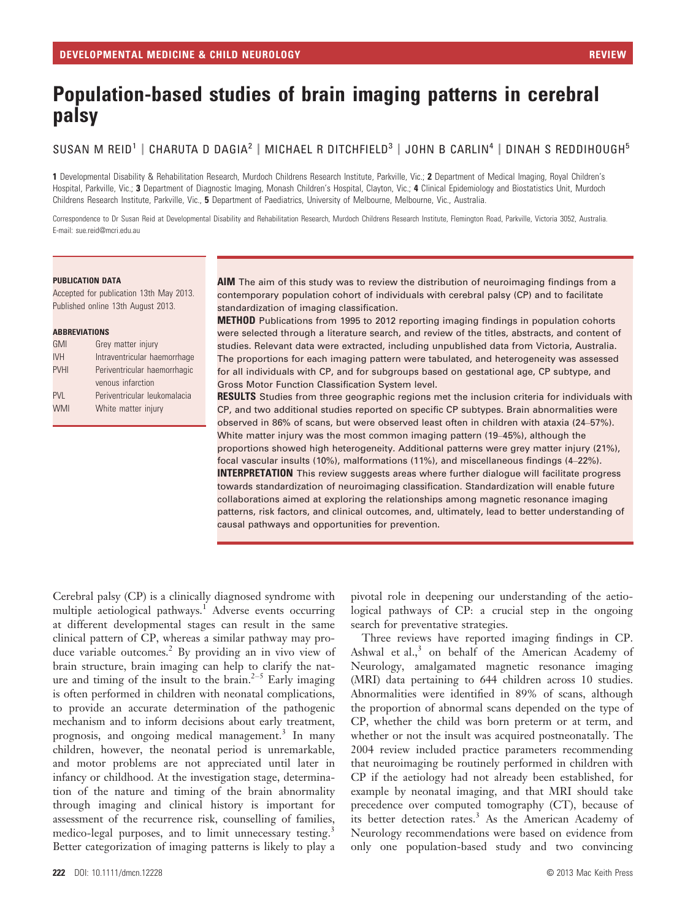# Population-based studies of brain imaging patterns in cerebral palsy

# SUSAN M REID<sup>1</sup> | CHARUTA D DAGIA<sup>2</sup> | MICHAEL R DITCHFIELD<sup>3</sup> | JOHN B CARLIN<sup>4</sup> | DINAH S REDDIHOUGH<sup>5</sup>

1 Developmental Disability & Rehabilitation Research, Murdoch Childrens Research Institute, Parkville, Vic.; 2 Department of Medical Imaging, Royal Children's Hospital, Parkville, Vic.; 3 Department of Diagnostic Imaging, Monash Children's Hospital, Clayton, Vic.; 4 Clinical Epidemiology and Biostatistics Unit, Murdoch Childrens Research Institute, Parkville, Vic., 5 Department of Paediatrics, University of Melbourne, Melbourne, Vic., Australia.

Correspondence to Dr Susan Reid at Developmental Disability and Rehabilitation Research, Murdoch Childrens Research Institute, Flemington Road, Parkville, Victoria 3052, Australia. E-mail: sue.reid@mcri.edu.au

#### PUBLICATION DATA

Accepted for publication 13th May 2013. Published online 13th August 2013.

#### ABBREVIATIONS

| GMI         | Grey matter injury           |
|-------------|------------------------------|
| <b>IVH</b>  | Intraventricular haemorrhage |
| <b>PVHI</b> | Periventricular haemorrhagic |
|             | venous infarction            |
| PVL         | Periventricular leukomalacia |
| <b>WMI</b>  | White matter injury          |

AIM The aim of this study was to review the distribution of neuroimaging findings from a contemporary population cohort of individuals with cerebral palsy (CP) and to facilitate standardization of imaging classification.

METHOD Publications from 1995 to 2012 reporting imaging findings in population cohorts were selected through a literature search, and review of the titles, abstracts, and content of studies. Relevant data were extracted, including unpublished data from Victoria, Australia. The proportions for each imaging pattern were tabulated, and heterogeneity was assessed for all individuals with CP, and for subgroups based on gestational age, CP subtype, and Gross Motor Function Classification System level.

**RESULTS** Studies from three geographic regions met the inclusion criteria for individuals with CP, and two additional studies reported on specific CP subtypes. Brain abnormalities were observed in 86% of scans, but were observed least often in children with ataxia (24–57%). White matter injury was the most common imaging pattern (19–45%), although the proportions showed high heterogeneity. Additional patterns were grey matter injury (21%), focal vascular insults (10%), malformations (11%), and miscellaneous findings (4–22%). **INTERPRETATION** This review suggests areas where further dialogue will facilitate progress towards standardization of neuroimaging classification. Standardization will enable future collaborations aimed at exploring the relationships among magnetic resonance imaging patterns, risk factors, and clinical outcomes, and, ultimately, lead to better understanding of causal pathways and opportunities for prevention.

Cerebral palsy (CP) is a clinically diagnosed syndrome with multiple aetiological pathways.<sup>1</sup> Adverse events occurring at different developmental stages can result in the same clinical pattern of CP, whereas a similar pathway may produce variable outcomes.<sup>2</sup> By providing an in vivo view of brain structure, brain imaging can help to clarify the nature and timing of the insult to the brain.<sup>2–5</sup> Early imaging is often performed in children with neonatal complications, to provide an accurate determination of the pathogenic mechanism and to inform decisions about early treatment, prognosis, and ongoing medical management.<sup>3</sup> In many children, however, the neonatal period is unremarkable, and motor problems are not appreciated until later in infancy or childhood. At the investigation stage, determination of the nature and timing of the brain abnormality through imaging and clinical history is important for assessment of the recurrence risk, counselling of families, medico-legal purposes, and to limit unnecessary testing.<sup>3</sup> Better categorization of imaging patterns is likely to play a

pivotal role in deepening our understanding of the aetiological pathways of CP: a crucial step in the ongoing search for preventative strategies.

Three reviews have reported imaging findings in CP. Ashwal et al., $3$  on behalf of the American Academy of Neurology, amalgamated magnetic resonance imaging (MRI) data pertaining to 644 children across 10 studies. Abnormalities were identified in 89% of scans, although the proportion of abnormal scans depended on the type of CP, whether the child was born preterm or at term, and whether or not the insult was acquired postneonatally. The 2004 review included practice parameters recommending that neuroimaging be routinely performed in children with CP if the aetiology had not already been established, for example by neonatal imaging, and that MRI should take precedence over computed tomography (CT), because of its better detection rates.<sup>3</sup> As the American Academy of Neurology recommendations were based on evidence from only one population-based study and two convincing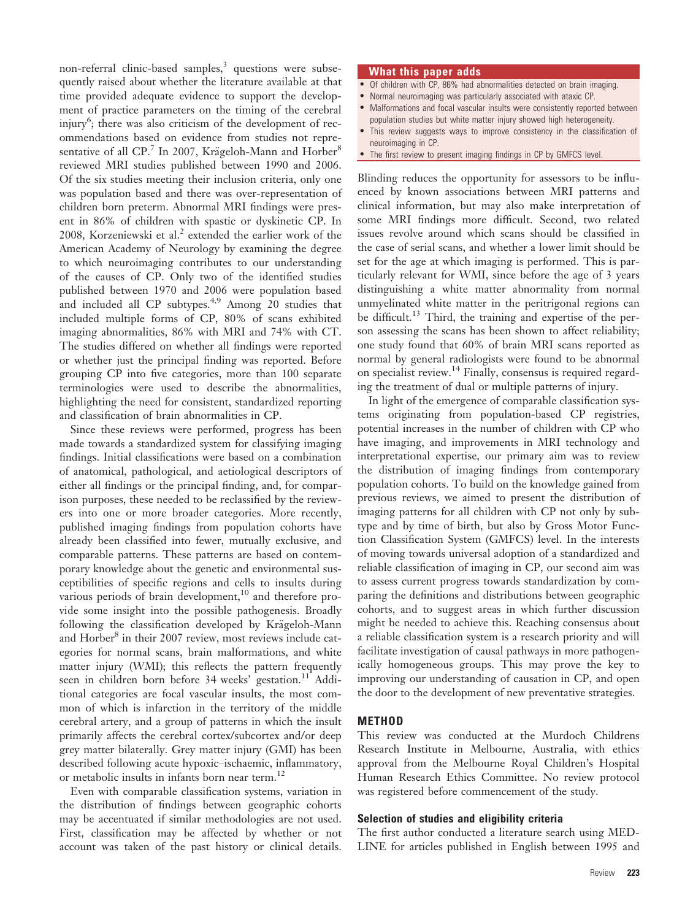non-referral clinic-based samples, $3$  questions were subsequently raised about whether the literature available at that time provided adequate evidence to support the development of practice parameters on the timing of the cerebral injury<sup>6</sup>; there was also criticism of the development of recommendations based on evidence from studies not representative of all CP.<sup>7</sup> In 2007, Krägeloh-Mann and Horber<sup>8</sup> reviewed MRI studies published between 1990 and 2006. Of the six studies meeting their inclusion criteria, only one was population based and there was over-representation of children born preterm. Abnormal MRI findings were present in 86% of children with spastic or dyskinetic CP. In 2008, Korzeniewski et al.<sup>2</sup> extended the earlier work of the American Academy of Neurology by examining the degree to which neuroimaging contributes to our understanding of the causes of CP. Only two of the identified studies published between 1970 and 2006 were population based and included all CP subtypes.<sup>4,9</sup> Among 20 studies that included multiple forms of CP, 80% of scans exhibited imaging abnormalities, 86% with MRI and 74% with CT. The studies differed on whether all findings were reported or whether just the principal finding was reported. Before grouping CP into five categories, more than 100 separate terminologies were used to describe the abnormalities, highlighting the need for consistent, standardized reporting and classification of brain abnormalities in CP.

Since these reviews were performed, progress has been made towards a standardized system for classifying imaging findings. Initial classifications were based on a combination of anatomical, pathological, and aetiological descriptors of either all findings or the principal finding, and, for comparison purposes, these needed to be reclassified by the reviewers into one or more broader categories. More recently, published imaging findings from population cohorts have already been classified into fewer, mutually exclusive, and comparable patterns. These patterns are based on contemporary knowledge about the genetic and environmental susceptibilities of specific regions and cells to insults during various periods of brain development, $^{10}$  and therefore provide some insight into the possible pathogenesis. Broadly following the classification developed by Krägeloh-Mann and Horber<sup>8</sup> in their 2007 review, most reviews include categories for normal scans, brain malformations, and white matter injury (WMI); this reflects the pattern frequently seen in children born before 34 weeks' gestation.<sup>11</sup> Additional categories are focal vascular insults, the most common of which is infarction in the territory of the middle cerebral artery, and a group of patterns in which the insult primarily affects the cerebral cortex/subcortex and/or deep grey matter bilaterally. Grey matter injury (GMI) has been described following acute hypoxic–ischaemic, inflammatory, or metabolic insults in infants born near term.<sup>12</sup>

Even with comparable classification systems, variation in the distribution of findings between geographic cohorts may be accentuated if similar methodologies are not used. First, classification may be affected by whether or not account was taken of the past history or clinical details.

#### What this paper adds

- Of children with CP, 86% had abnormalities detected on brain imaging.
- Normal neuroimaging was particularly associated with ataxic CP.
- Malformations and focal vascular insults were consistently reported between population studies but white matter injury showed high heterogeneity.
- This review suggests ways to improve consistency in the classification of neuroimaging in CP.
- The first review to present imaging findings in CP by GMFCS level.

Blinding reduces the opportunity for assessors to be influenced by known associations between MRI patterns and clinical information, but may also make interpretation of some MRI findings more difficult. Second, two related issues revolve around which scans should be classified in the case of serial scans, and whether a lower limit should be set for the age at which imaging is performed. This is particularly relevant for WMI, since before the age of 3 years distinguishing a white matter abnormality from normal unmyelinated white matter in the peritrigonal regions can be difficult.<sup>13</sup> Third, the training and expertise of the person assessing the scans has been shown to affect reliability; one study found that 60% of brain MRI scans reported as normal by general radiologists were found to be abnormal on specialist review.14 Finally, consensus is required regarding the treatment of dual or multiple patterns of injury.

In light of the emergence of comparable classification systems originating from population-based CP registries, potential increases in the number of children with CP who have imaging, and improvements in MRI technology and interpretational expertise, our primary aim was to review the distribution of imaging findings from contemporary population cohorts. To build on the knowledge gained from previous reviews, we aimed to present the distribution of imaging patterns for all children with CP not only by subtype and by time of birth, but also by Gross Motor Function Classification System (GMFCS) level. In the interests of moving towards universal adoption of a standardized and reliable classification of imaging in CP, our second aim was to assess current progress towards standardization by comparing the definitions and distributions between geographic cohorts, and to suggest areas in which further discussion might be needed to achieve this. Reaching consensus about a reliable classification system is a research priority and will facilitate investigation of causal pathways in more pathogenically homogeneous groups. This may prove the key to improving our understanding of causation in CP, and open the door to the development of new preventative strategies.

#### **METHOD**

This review was conducted at the Murdoch Childrens Research Institute in Melbourne, Australia, with ethics approval from the Melbourne Royal Children's Hospital Human Research Ethics Committee. No review protocol was registered before commencement of the study.

#### Selection of studies and eligibility criteria

The first author conducted a literature search using MED-LINE for articles published in English between 1995 and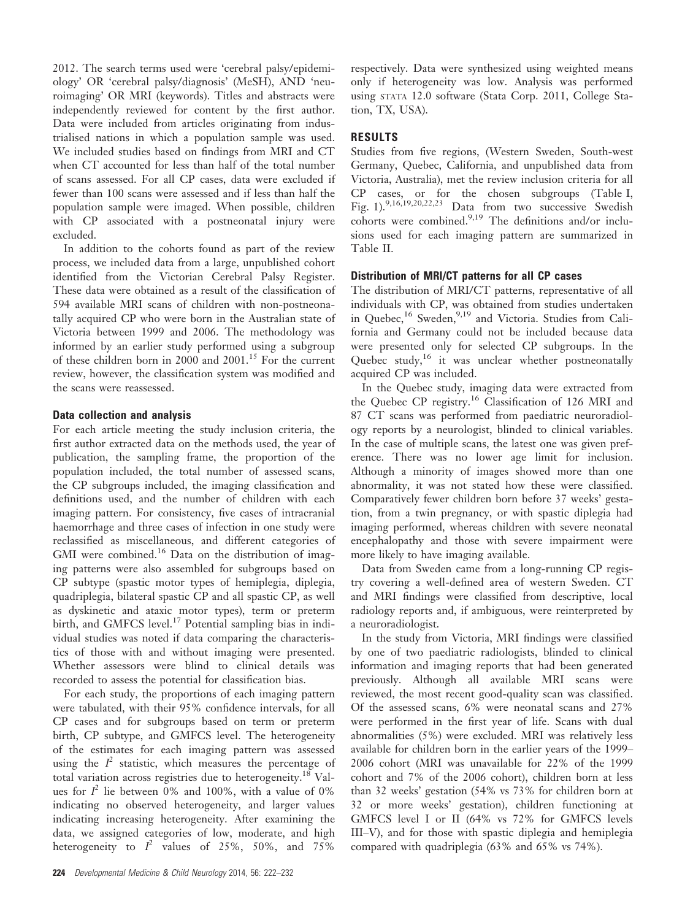2012. The search terms used were 'cerebral palsy/epidemiology' OR 'cerebral palsy/diagnosis' (MeSH), AND 'neuroimaging' OR MRI (keywords). Titles and abstracts were independently reviewed for content by the first author. Data were included from articles originating from industrialised nations in which a population sample was used. We included studies based on findings from MRI and CT when CT accounted for less than half of the total number of scans assessed. For all CP cases, data were excluded if fewer than 100 scans were assessed and if less than half the population sample were imaged. When possible, children with CP associated with a postneonatal injury were excluded.

In addition to the cohorts found as part of the review process, we included data from a large, unpublished cohort identified from the Victorian Cerebral Palsy Register. These data were obtained as a result of the classification of 594 available MRI scans of children with non-postneonatally acquired CP who were born in the Australian state of Victoria between 1999 and 2006. The methodology was informed by an earlier study performed using a subgroup of these children born in 2000 and 2001.<sup>15</sup> For the current review, however, the classification system was modified and the scans were reassessed.

#### Data collection and analysis

For each article meeting the study inclusion criteria, the first author extracted data on the methods used, the year of publication, the sampling frame, the proportion of the population included, the total number of assessed scans, the CP subgroups included, the imaging classification and definitions used, and the number of children with each imaging pattern. For consistency, five cases of intracranial haemorrhage and three cases of infection in one study were reclassified as miscellaneous, and different categories of GMI were combined.<sup>16</sup> Data on the distribution of imaging patterns were also assembled for subgroups based on CP subtype (spastic motor types of hemiplegia, diplegia, quadriplegia, bilateral spastic CP and all spastic CP, as well as dyskinetic and ataxic motor types), term or preterm birth, and GMFCS level.<sup>17</sup> Potential sampling bias in individual studies was noted if data comparing the characteristics of those with and without imaging were presented. Whether assessors were blind to clinical details was recorded to assess the potential for classification bias.

For each study, the proportions of each imaging pattern were tabulated, with their 95% confidence intervals, for all CP cases and for subgroups based on term or preterm birth, CP subtype, and GMFCS level. The heterogeneity of the estimates for each imaging pattern was assessed using the  $I^2$  statistic, which measures the percentage of total variation across registries due to heterogeneity.<sup>18</sup> Values for  $I^2$  lie between 0% and 100%, with a value of 0% indicating no observed heterogeneity, and larger values indicating increasing heterogeneity. After examining the data, we assigned categories of low, moderate, and high heterogeneity to  $I^2$  values of 25%, 50%, and 75%

respectively. Data were synthesized using weighted means only if heterogeneity was low. Analysis was performed using STATA 12.0 software (Stata Corp. 2011, College Station, TX, USA).

#### RESULTS

Studies from five regions, (Western Sweden, South-west Germany, Quebec, California, and unpublished data from Victoria, Australia), met the review inclusion criteria for all CP cases, or for the chosen subgroups (Table I, Fig. 1).<sup>9,16,19,20,22,23</sup> Data from two successive Swedish cohorts were combined. $9,19$  The definitions and/or inclusions used for each imaging pattern are summarized in Table II.

#### Distribution of MRI/CT patterns for all CP cases

The distribution of MRI/CT patterns, representative of all individuals with CP, was obtained from studies undertaken in Quebec,<sup>16</sup> Sweden,<sup>9,19</sup> and Victoria. Studies from California and Germany could not be included because data were presented only for selected CP subgroups. In the Quebec study,<sup>16</sup> it was unclear whether postneonatally acquired CP was included.

In the Quebec study, imaging data were extracted from the Quebec CP registry.<sup>16</sup> Classification of 126 MRI and 87 CT scans was performed from paediatric neuroradiology reports by a neurologist, blinded to clinical variables. In the case of multiple scans, the latest one was given preference. There was no lower age limit for inclusion. Although a minority of images showed more than one abnormality, it was not stated how these were classified. Comparatively fewer children born before 37 weeks' gestation, from a twin pregnancy, or with spastic diplegia had imaging performed, whereas children with severe neonatal encephalopathy and those with severe impairment were more likely to have imaging available.

Data from Sweden came from a long-running CP registry covering a well-defined area of western Sweden. CT and MRI findings were classified from descriptive, local radiology reports and, if ambiguous, were reinterpreted by a neuroradiologist.

In the study from Victoria, MRI findings were classified by one of two paediatric radiologists, blinded to clinical information and imaging reports that had been generated previously. Although all available MRI scans were reviewed, the most recent good-quality scan was classified. Of the assessed scans, 6% were neonatal scans and 27% were performed in the first year of life. Scans with dual abnormalities (5%) were excluded. MRI was relatively less available for children born in the earlier years of the 1999– 2006 cohort (MRI was unavailable for 22% of the 1999 cohort and 7% of the 2006 cohort), children born at less than 32 weeks' gestation (54% vs 73% for children born at 32 or more weeks' gestation), children functioning at GMFCS level I or II (64% vs 72% for GMFCS levels III–V), and for those with spastic diplegia and hemiplegia compared with quadriplegia (63% and 65% vs 74%).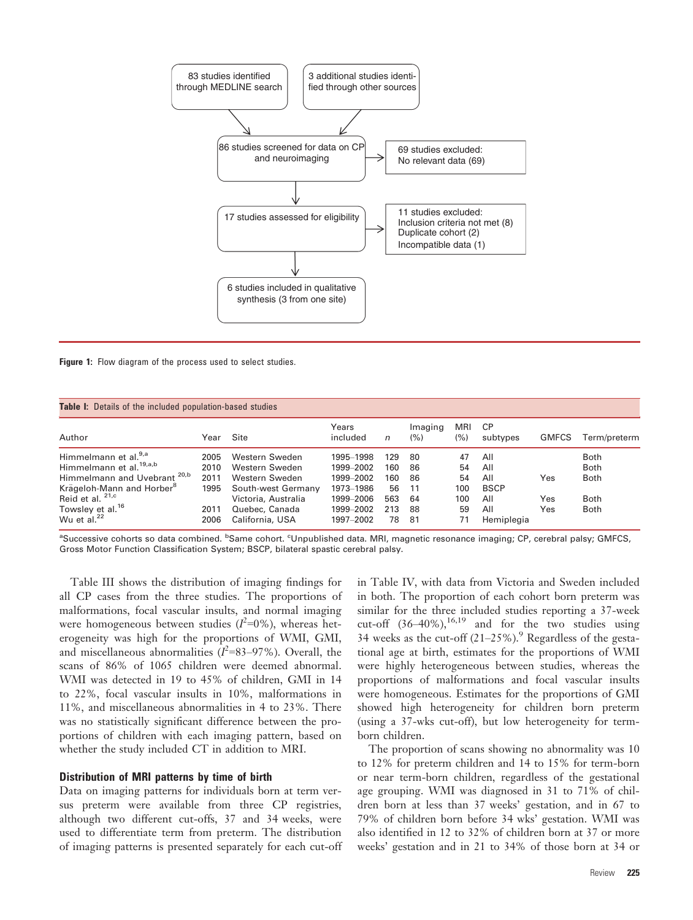

Figure 1: Flow diagram of the process used to select studies.

| <b>Table I:</b> Details of the included population-based studies |      |                     |                   |              |                |                   |                |              |              |  |
|------------------------------------------------------------------|------|---------------------|-------------------|--------------|----------------|-------------------|----------------|--------------|--------------|--|
| Author                                                           | Year | Site                | Years<br>included | $\mathsf{n}$ | Imaging<br>(%) | <b>MRI</b><br>(%) | CP<br>subtypes | <b>GMFCS</b> | Term/preterm |  |
| Himmelmann et al. <sup>9,a</sup>                                 | 2005 | Western Sweden      | 1995-1998         | 129          | -80            | 47                | All            |              | <b>Both</b>  |  |
| Himmelmann et al. <sup>19,a,b</sup>                              | 2010 | Western Sweden      | 1999-2002         | 160          | 86             | 54                | All            |              | <b>Both</b>  |  |
| Himmelmann and Uvebrant <sup>20,b</sup>                          | 2011 | Western Sweden      | 1999-2002         | 160          | 86             | 54                | All            | Yes          | <b>Both</b>  |  |
| Krägeloh-Mann and Horber <sup>8</sup>                            | 1995 | South-west Germany  | 1973-1986         | 56           | -11            | 100               | <b>BSCP</b>    |              |              |  |
| Reid et al. $21,c$                                               |      | Victoria, Australia | 1999-2006         | 563          | 64             | 100               | All            | Yes          | <b>Both</b>  |  |
| Towsley et al. <sup>16</sup>                                     | 2011 | Quebec, Canada      | 1999-2002         | 213          | 88             | 59                | All            | Yes          | <b>Both</b>  |  |
| Wu et al. $^{22}$                                                | 2006 | California, USA     | 1997-2002         | 78           | -81            | 71                | Hemiplegia     |              |              |  |

<sup>a</sup>Successive cohorts so data combined. <sup>b</sup>Same cohort. <sup>c</sup>Unpublished data. MRI, magnetic resonance imaging; CP, cerebral palsy; GMFCS, Gross Motor Function Classification System; BSCP, bilateral spastic cerebral palsy.

Table III shows the distribution of imaging findings for all CP cases from the three studies. The proportions of malformations, focal vascular insults, and normal imaging were homogeneous between studies  $(I^2=0\%)$ , whereas heterogeneity was high for the proportions of WMI, GMI, and miscellaneous abnormalities ( $l^2$ =83–97%). Overall, the scans of 86% of 1065 children were deemed abnormal. WMI was detected in 19 to 45% of children, GMI in 14 to 22%, focal vascular insults in 10%, malformations in 11%, and miscellaneous abnormalities in 4 to 23%. There was no statistically significant difference between the proportions of children with each imaging pattern, based on whether the study included CT in addition to MRI.

#### Distribution of MRI patterns by time of birth

Data on imaging patterns for individuals born at term versus preterm were available from three CP registries, although two different cut-offs, 37 and 34 weeks, were used to differentiate term from preterm. The distribution of imaging patterns is presented separately for each cut-off

in Table IV, with data from Victoria and Sweden included in both. The proportion of each cohort born preterm was similar for the three included studies reporting a 37-week cut-off  $(36-40\%)$ , <sup>16,19</sup> and for the two studies using 34 weeks as the cut-off  $(21-25\%)$ .<sup>9</sup> Regardless of the gestational age at birth, estimates for the proportions of WMI were highly heterogeneous between studies, whereas the proportions of malformations and focal vascular insults were homogeneous. Estimates for the proportions of GMI showed high heterogeneity for children born preterm (using a 37-wks cut-off), but low heterogeneity for termborn children.

The proportion of scans showing no abnormality was 10 to 12% for preterm children and 14 to 15% for term-born or near term-born children, regardless of the gestational age grouping. WMI was diagnosed in 31 to 71% of children born at less than 37 weeks' gestation, and in 67 to 79% of children born before 34 wks' gestation. WMI was also identified in 12 to 32% of children born at 37 or more weeks' gestation and in 21 to 34% of those born at 34 or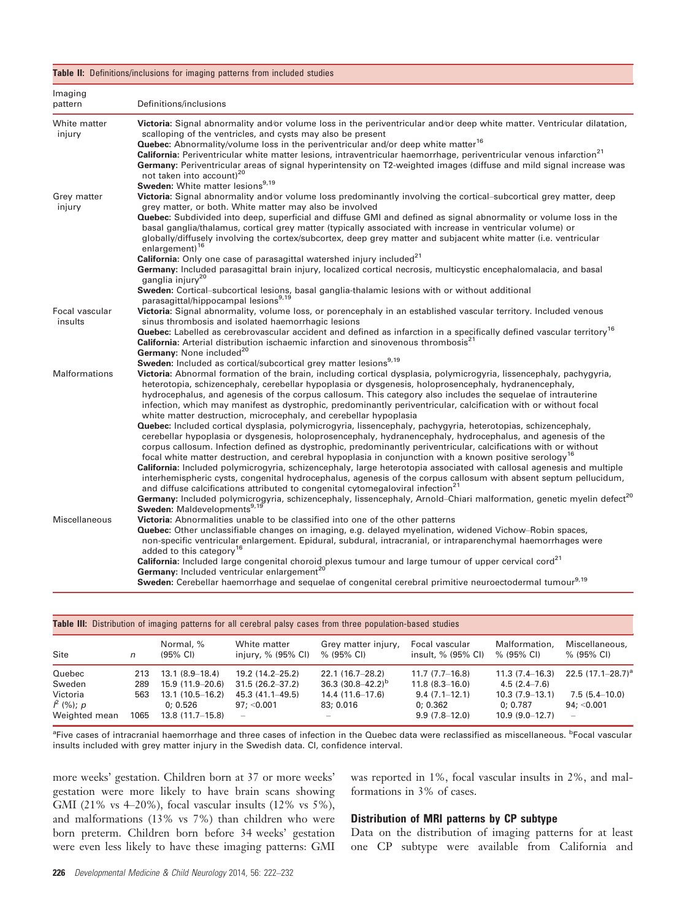#### Table II: Definitions/inclusions for imaging patterns from included studies

| Imaging<br>pattern        | Definitions/inclusions                                                                                                                                                                                                                                                                                                                                                                                                                                          |
|---------------------------|-----------------------------------------------------------------------------------------------------------------------------------------------------------------------------------------------------------------------------------------------------------------------------------------------------------------------------------------------------------------------------------------------------------------------------------------------------------------|
| White matter<br>injury    | Victoria: Signal abnormality and/or volume loss in the periventricular and/or deep white matter. Ventricular dilatation,<br>scalloping of the ventricles, and cysts may also be present<br><b>Quebec:</b> Abnormality/volume loss in the periventricular and/or deep white matter <sup>16</sup>                                                                                                                                                                 |
|                           | California: Periventricular white matter lesions, intraventricular haemorrhage, periventricular venous infarction <sup>21</sup><br>Germany: Periventricular areas of signal hyperintensity on T2-weighted images (diffuse and mild signal increase was<br>not taken into account) <sup>20</sup>                                                                                                                                                                 |
| Grey matter               | Sweden: White matter lesions9,19<br>Victoria: Signal abnormality and/or volume loss predominantly involving the cortical-subcortical grey matter, deep                                                                                                                                                                                                                                                                                                          |
| injury                    | grey matter, or both. White matter may also be involved<br>Quebec: Subdivided into deep, superficial and diffuse GMI and defined as signal abnormality or volume loss in the<br>basal ganglia/thalamus, cortical grey matter (typically associated with increase in ventricular volume) or<br>globally/diffusely involving the cortex/subcortex, deep grey matter and subjacent white matter (i.e. ventricular<br>enlargement) <sup>16</sup>                    |
|                           | <b>California:</b> Only one case of parasagittal watershed injury included <sup>21</sup>                                                                                                                                                                                                                                                                                                                                                                        |
|                           | Germany: Included parasagittal brain injury, localized cortical necrosis, multicystic encephalomalacia, and basal<br>ganglia injury <sup>20</sup>                                                                                                                                                                                                                                                                                                               |
|                           | Sweden: Cortical–subcortical lesions, basal ganglia-thalamic lesions with or without additional<br>parasagittal/hippocampal lesions <sup>9,19</sup>                                                                                                                                                                                                                                                                                                             |
| Focal vascular<br>insults | Victoria: Signal abnormality, volume loss, or porencephaly in an established vascular territory. Included venous<br>sinus thrombosis and isolated haemorrhagic lesions                                                                                                                                                                                                                                                                                          |
|                           | Quebec: Labelled as cerebrovascular accident and defined as infarction in a specifically defined vascular territory <sup>16</sup>                                                                                                                                                                                                                                                                                                                               |
|                           | <b>California:</b> Arterial distribution ischaemic infarction and sinovenous thrombosis <sup>21</sup>                                                                                                                                                                                                                                                                                                                                                           |
|                           | Germany: None included <sup>20</sup><br>Sweden: Included as cortical/subcortical grey matter lesions <sup>9,19</sup>                                                                                                                                                                                                                                                                                                                                            |
| <b>Malformations</b>      | Victoria: Abnormal formation of the brain, including cortical dysplasia, polymicrogyria, lissencephaly, pachygyria,                                                                                                                                                                                                                                                                                                                                             |
|                           | heterotopia, schizencephaly, cerebellar hypoplasia or dysgenesis, holoprosencephaly, hydranencephaly,<br>hydrocephalus, and agenesis of the corpus callosum. This category also includes the sequelae of intrauterine<br>infection, which may manifest as dystrophic, predominantly periventricular, calcification with or without focal<br>white matter destruction, microcephaly, and cerebellar hypoplasia                                                   |
|                           | Quebec: Included cortical dysplasia, polymicrogyria, lissencephaly, pachygyria, heterotopias, schizencephaly,<br>cerebellar hypoplasia or dysgenesis, holoprosencephaly, hydranencephaly, hydrocephalus, and agenesis of the<br>corpus callosum. Infection defined as dystrophic, predominantly periventricular, calcifications with or without                                                                                                                 |
|                           | focal white matter destruction, and cerebral hypoplasia in conjunction with a known positive serology <sup>16</sup><br>California: Included polymicrogyria, schizencephaly, large heterotopia associated with callosal agenesis and multiple<br>interhemispheric cysts, congenital hydrocephalus, agenesis of the corpus callosum with absent septum pellucidum,<br>and diffuse calcifications attributed to congenital cytomegaloviral infection <sup>21</sup> |
|                           | Germany: Included polymicrogyria, schizencephaly, lissencephaly, Arnold-Chiari malformation, genetic myelin defect <sup>20</sup><br>Sweden: Maldevelopments <sup>9,19</sup>                                                                                                                                                                                                                                                                                     |
| <b>Miscellaneous</b>      | Victoria: Abnormalities unable to be classified into one of the other patterns                                                                                                                                                                                                                                                                                                                                                                                  |
|                           | Quebec: Other unclassifiable changes on imaging, e.g. delayed myelination, widened Vichow-Robin spaces,<br>non-specific ventricular enlargement. Epidural, subdural, intracranial, or intraparenchymal haemorrhages were<br>added to this category <sup>16</sup>                                                                                                                                                                                                |
|                           | <b>California:</b> Included large congenital choroid plexus tumour and large tumour of upper cervical cord <sup>21</sup><br>Germany: Included ventricular enlargement <sup>20</sup>                                                                                                                                                                                                                                                                             |
|                           | Sweden: Cerebellar haemorrhage and sequelae of congenital cerebral primitive neuroectodermal tumour <sup>9,19</sup>                                                                                                                                                                                                                                                                                                                                             |

| <b>Table III:</b> Distribution of imaging patterns for all cerebral palsy cases from three population-based studies |      |                                  |                                    |                                   |                                      |                                        |                              |  |  |  |  |
|---------------------------------------------------------------------------------------------------------------------|------|----------------------------------|------------------------------------|-----------------------------------|--------------------------------------|----------------------------------------|------------------------------|--|--|--|--|
| Site                                                                                                                | n    | Normal, %<br>$(95\% \text{ Cl})$ | White matter<br>injury, % (95% CI) | Grey matter injury,<br>% (95% CI) | Focal vascular<br>insult, % (95% CI) | Malformation,<br>$% (95\% \text{ Cl})$ | Miscellaneous,<br>% (95% CI) |  |  |  |  |
| Quebec                                                                                                              | 213  | $13.1(8.9-18.4)$                 | $19.2(14.2 - 25.2)$                | $22.1(16.7-28.2)$                 | $11.7(7.7-16.8)$                     | $11.3(7.4 - 16.3)$                     | 22.5 $(17.1 - 28.7)^a$       |  |  |  |  |
| Sweden                                                                                                              | 289  | $15.9(11.9-20.6)$                | $31.5(26.2 - 37.2)$                | 36.3 $(30.8-42.2)^{b}$            | $11.8(8.3-16.0)$                     | $4.5(2.4 - 7.6)$                       |                              |  |  |  |  |
| Victoria                                                                                                            | 563  | $13.1(10.5-16.2)$                | $45.3(41.1 - 49.5)$                | $14.4(11.6-17.6)$                 | $9.4(7.1-12.1)$                      | $10.3(7.9-13.1)$                       | $7.5(5.4 - 10.0)$            |  |  |  |  |
| $\int$ (%); p                                                                                                       |      | 0: 0.526                         | 97: < 0.001                        | 83:0.016                          | 0: 0.362                             | 0: 0.787                               | 94: < 0.001                  |  |  |  |  |
| Weighted mean                                                                                                       | 1065 | $13.8(11.7-15.8)$                | $\overline{\phantom{a}}$           |                                   | $9.9(7.8-12.0)$                      | $10.9(9.0-12.7)$                       | $\overline{\phantom{0}}$     |  |  |  |  |

<sup>a</sup>Five cases of intracranial haemorrhage and three cases of infection in the Quebec data were reclassified as miscellaneous. <sup>b</sup>Focal vascular insults included with grey matter injury in the Swedish data. CI, confidence interval.

more weeks' gestation. Children born at 37 or more weeks' gestation were more likely to have brain scans showing GMI (21% vs 4–20%), focal vascular insults (12% vs 5%), and malformations (13% vs 7%) than children who were born preterm. Children born before 34 weeks' gestation were even less likely to have these imaging patterns: GMI

was reported in 1%, focal vascular insults in 2%, and malformations in 3% of cases.

#### Distribution of MRI patterns by CP subtype

Data on the distribution of imaging patterns for at least one CP subtype were available from California and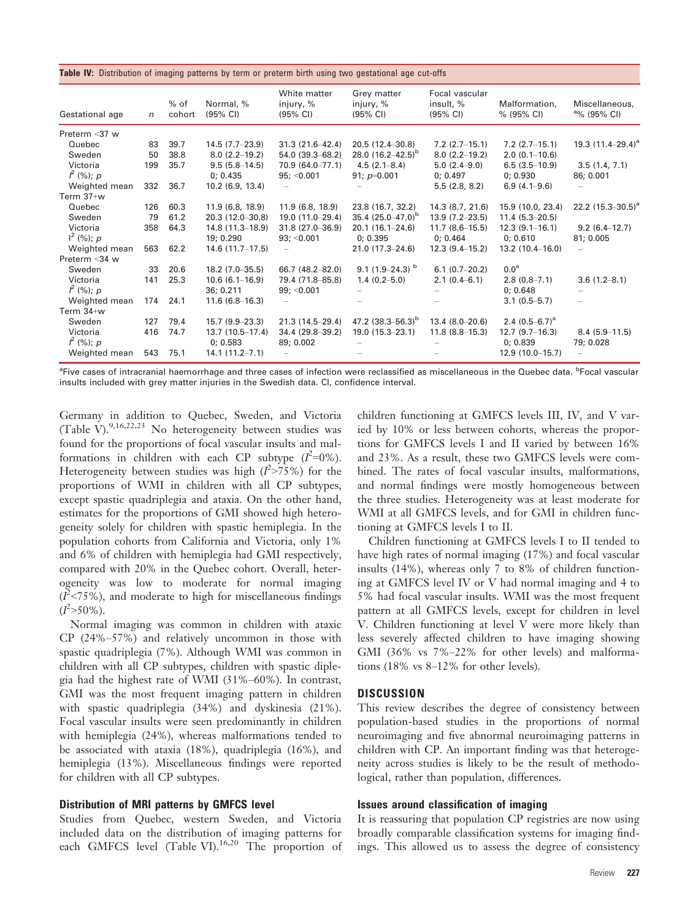|  |  |  | Table IV: Distribution of imaging patterns by term or preterm birth using two gestational age cut-offs |  |  |
|--|--|--|--------------------------------------------------------------------------------------------------------|--|--|
|  |  |  |                                                                                                        |  |  |

| Gestational age  | n   | $%$ of<br>cohort | Normal, %<br>$(95% \text{ Cl})$ | White matter<br>injury, %<br>$(95% \text{ Cl})$ | Grey matter<br>injury, %<br>$(95% \text{ Cl})$ | Focal vascular<br>insult, %<br>$(95% \text{ Cl})$ | Malformation,<br>% (95% CI) | Miscellaneous,<br><sup>a</sup> % (95% CI) |
|------------------|-----|------------------|---------------------------------|-------------------------------------------------|------------------------------------------------|---------------------------------------------------|-----------------------------|-------------------------------------------|
| Preterm $<$ 37 w |     |                  |                                 |                                                 |                                                |                                                   |                             |                                           |
| Quebec           | 83  | 39.7             | $14.5(7.7-23.9)$                | $31.3(21.6 - 42.4)$                             | 20.5 (12.4-30.8)                               | $7.2(2.7-15.1)$                                   | $7.2$ $(2.7-15.1)$          | 19.3 $(11.4 - 29.4)^a$                    |
| Sweden           | 50  | 38.8             | $8.0(2.2-19.2)$                 | 54.0 (39.3-68.2)                                | 28.0 $(16.2 - 42.5)^{b}$                       | $8.0(2.2-19.2)$                                   | $2.0(0.1-10.6)$             |                                           |
| Victoria         | 199 | 35.7             | $9.5(5.8-14.5)$                 | $70.9(64.0 - 77.1)$                             | $4.5(2.1 - 8.4)$                               | $5.0(2.4-9.0)$                                    | $6.5(3.5-10.9)$             | 3.5(1.4, 7.1)                             |
| $l^2$ (%); p     |     |                  | 0; 0.435                        | 95; < 0.001                                     | 91; $p=0.001$                                  | 0; 0.497                                          | 0; 0.930                    | 86; 0.001                                 |
| Weighted mean    | 332 | 36.7             | 10.2(6.9, 13.4)                 |                                                 |                                                | 5.5(2.8, 8.2)                                     | $6.9(4.1-9.6)$              |                                           |
| Term 37+w        |     |                  |                                 |                                                 |                                                |                                                   |                             |                                           |
| Quebec           | 126 | 60.3             | 11.9 (6.8, 18.9)                | 11.9 (6.8, 18.9)                                | 23.8 (16.7, 32.2)                              | 14.3 (8.7, 21.6)                                  | 15.9 (10.0, 23.4)           | 22.2 $(15.3 - 30.5)^a$                    |
| Sweden           | 79  | 61.2             | 20.3 (12.0-30.8)                | 19.0 (11.0-29.4)                                | 35.4 $(25.0 - 47.0)^b$                         | $13.9(7.2 - 23.5)$                                | $11.4(5.3-20.5)$            |                                           |
| Victoria         | 358 | 64.3             | $14.8(11.3-18.9)$               | $31.8(27.0 - 36.9)$                             | $20.1(16.1 - 24.6)$                            | $11.7(8.6 - 15.5)$                                | $12.3(9.1-16.1)$            | $9.2(6.4-12.7)$                           |
| $1^2$ (%); p     |     |                  | 19; 0.290                       | 93; < 0.001                                     | 0; 0.395                                       | 0; 0.464                                          | 0; 0.610                    | 81; 0.005                                 |
| Weighted mean    | 563 | 62.2             | $14.6(11.7-17.5)$               | $\equiv$                                        | 21.0 (17.3-24.6)                               | $12.3(9.4 - 15.2)$                                | $13.2(10.4 - 16.0)$         |                                           |
| Preterm <34 w    |     |                  |                                 |                                                 |                                                |                                                   |                             |                                           |
| Sweden           | 33  | 20.6             | $18.2(7.0-35.5)$                | 66.7 (48.2-82.0)                                | 9.1 $(1.9-24.3)$ <sup>b</sup>                  | $6.1(0.7-20.2)$                                   | 0.0 <sup>a</sup>            |                                           |
| Victoria         | 141 | 25.3             | $10.6(6.1-16.9)$                | 79.4 (71.8-85.8)                                | $1.4(0.2 - 5.0)$                               | $2.1(0.4-6.1)$                                    | $2.8(0.8 - 7.1)$            | $3.6(1.2 - 8.1)$                          |
| $\int$ (%); p    |     |                  | 36: 0.211                       | 99; < 0.001                                     |                                                |                                                   | 0; 0.648                    |                                           |
| Weighted mean    | 174 | 24.1             | $11.6(6.8-16.3)$                |                                                 |                                                |                                                   | $3.1(0.5 - 5.7)$            |                                           |
| Term $34+w$      |     |                  |                                 |                                                 |                                                |                                                   |                             |                                           |
| Sweden           | 127 | 79.4             | $15.7(9.9-23.3)$                | 21.3 (14.5-29.4)                                | 47.2 $(38.3 - 56.3)^{b}$                       | $13.4(8.0 - 20.6)$                                | 2.4 $(0.5-6.7)^a$           |                                           |
| Victoria         | 416 | 74.7             | $13.7(10.5-17.4)$               | 34.4 (29.8-39.2)                                | $19.0(15.3-23.1)$                              | $11.8(8.8 - 15.3)$                                | $12.7(9.7-16.3)$            | $8.4(5.9-11.5)$                           |
| $j^2$ (%); p     |     |                  | 0; 0.583                        | 89; 0.002                                       |                                                |                                                   | 0; 0.839                    | 79; 0.028                                 |
| Weighted mean    | 543 | 75.1             | $14.1(11.2 - 7.1)$              |                                                 |                                                |                                                   | $12.9(10.0-15.7)$           | $\overline{\phantom{0}}$                  |

<sup>a</sup>Five cases of intracranial haemorrhage and three cases of infection were reclassified as miscellaneous in the Quebec data. <sup>b</sup>Focal vascular insults included with grey matter injuries in the Swedish data. CI, confidence interval.

Germany in addition to Quebec, Sweden, and Victoria (Table V).  $9,16,22,23$  No heterogeneity between studies was found for the proportions of focal vascular insults and malformations in children with each CP subtype  $(I^2=0\%)$ . Heterogeneity between studies was high ( $l^2$ >75%) for the proportions of WMI in children with all CP subtypes, except spastic quadriplegia and ataxia. On the other hand, estimates for the proportions of GMI showed high heterogeneity solely for children with spastic hemiplegia. In the population cohorts from California and Victoria, only 1% and 6% of children with hemiplegia had GMI respectively, compared with 20% in the Quebec cohort. Overall, heterogeneity was low to moderate for normal imaging  $(I<sup>2</sup><75%)$ , and moderate to high for miscellaneous findings  $(I^2 > 50\%).$ 

Normal imaging was common in children with ataxic CP (24%–57%) and relatively uncommon in those with spastic quadriplegia (7%). Although WMI was common in children with all CP subtypes, children with spastic diplegia had the highest rate of WMI (31%–60%). In contrast, GMI was the most frequent imaging pattern in children with spastic quadriplegia (34%) and dyskinesia (21%). Focal vascular insults were seen predominantly in children with hemiplegia (24%), whereas malformations tended to be associated with ataxia (18%), quadriplegia (16%), and hemiplegia (13%). Miscellaneous findings were reported for children with all CP subtypes.

#### Distribution of MRI patterns by GMFCS level

Studies from Quebec, western Sweden, and Victoria included data on the distribution of imaging patterns for each GMFCS level (Table VI).<sup>16,20</sup> The proportion of children functioning at GMFCS levels III, IV, and V varied by 10% or less between cohorts, whereas the proportions for GMFCS levels I and II varied by between 16% and 23%. As a result, these two GMFCS levels were combined. The rates of focal vascular insults, malformations, and normal findings were mostly homogeneous between the three studies. Heterogeneity was at least moderate for WMI at all GMFCS levels, and for GMI in children functioning at GMFCS levels I to II.

Children functioning at GMFCS levels I to II tended to have high rates of normal imaging (17%) and focal vascular insults (14%), whereas only 7 to 8% of children functioning at GMFCS level IV or V had normal imaging and 4 to 5% had focal vascular insults. WMI was the most frequent pattern at all GMFCS levels, except for children in level V. Children functioning at level V were more likely than less severely affected children to have imaging showing GMI (36% vs 7%–22% for other levels) and malformations (18% vs 8–12% for other levels).

#### **DISCUSSION**

This review describes the degree of consistency between population-based studies in the proportions of normal neuroimaging and five abnormal neuroimaging patterns in children with CP. An important finding was that heterogeneity across studies is likely to be the result of methodological, rather than population, differences.

#### Issues around classification of imaging

It is reassuring that population CP registries are now using broadly comparable classification systems for imaging findings. This allowed us to assess the degree of consistency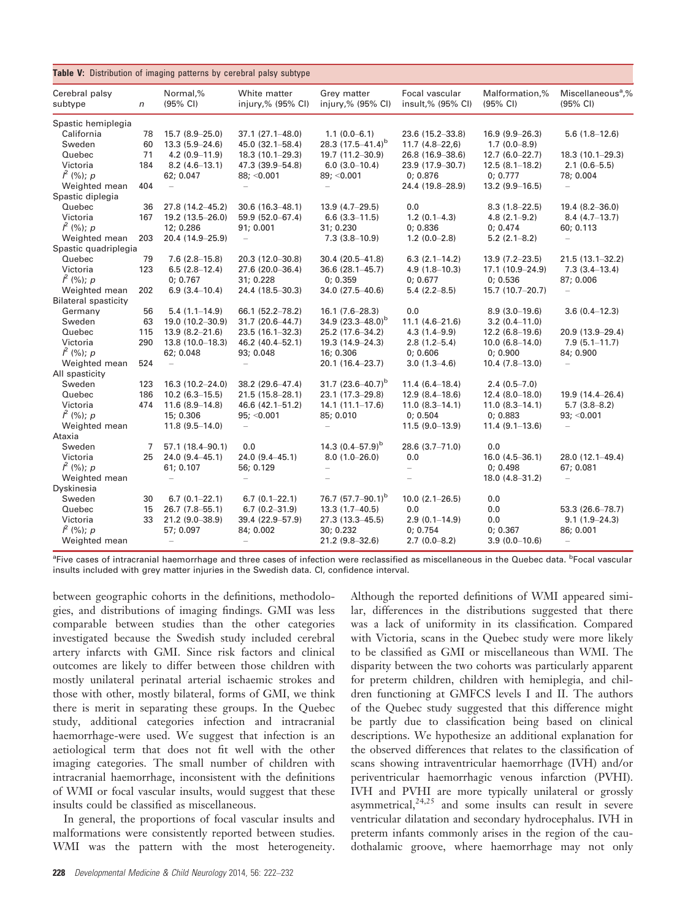| Table V: Distribution of imaging patterns by cerebral palsy subtype |                |                                |                                   |                                  |                                     |                            |                                           |
|---------------------------------------------------------------------|----------------|--------------------------------|-----------------------------------|----------------------------------|-------------------------------------|----------------------------|-------------------------------------------|
| Cerebral palsy<br>subtype                                           | $\sqrt{n}$     | Normal,%<br>$(95% \text{ Cl})$ | White matter<br>injury,% (95% CI) | Grey matter<br>injury,% (95% CI) | Focal vascular<br>insult,% (95% CI) | Malformation,%<br>(95% CI) | Miscellaneous <sup>a</sup> ,%<br>(95% CI) |
| Spastic hemiplegia                                                  |                |                                |                                   |                                  |                                     |                            |                                           |
| California                                                          | 78             | $15.7(8.9 - 25.0)$             | $37.1(27.1 - 48.0)$               | $1.1(0.0 - 6.1)$                 | 23.6 (15.2-33.8)                    | $16.9(9.9-26.3)$           | $5.6(1.8-12.6)$                           |
| Sweden                                                              | 60             | $13.3(5.9 - 24.6)$             | 45.0 (32.1-58.4)                  | 28.3 $(17.5 - 41.4)^b$           | $11.7(4.8-22.6)$                    | $1.7(0.0 - 8.9)$           |                                           |
| Quebec                                                              | 71             | $4.2(0.9-11.9)$                | $18.3(10.1 - 29.3)$               | 19.7 (11.2-30.9)                 | 26.8 (16.9-38.6)                    | $12.7(6.0-22.7)$           | $18.3(10.1 - 29.3)$                       |
| Victoria                                                            | 184            | $8.2(4.6-13.1)$                | 47.3 (39.9-54.8)                  | $6.0(3.0-10.4)$                  | 23.9 (17.9-30.7)                    | $12.5(8.1-18.2)$           | $2.1(0.6 - 5.5)$                          |
| $l^2$ (%); p                                                        |                | 62; 0.047                      | 88; < 0.001                       | 89; < 0.001                      | 0; 0.876                            | 0; 0.777                   | 78; 0.004                                 |
| Weighted mean                                                       | 404            | $\equiv$                       |                                   | $\qquad \qquad -$                | 24.4 (19.8-28.9)                    | $13.2$ (9.9-16.5)          | $\overline{\phantom{0}}$                  |
| Spastic diplegia                                                    |                |                                |                                   |                                  |                                     |                            |                                           |
| Quebec                                                              | 36             | 27.8 (14.2-45.2)               | $30.6(16.3 - 48.1)$               | $13.9(4.7-29.5)$                 | 0.0                                 | $8.3(1.8-22.5)$            | $19.4(8.2 - 36.0)$                        |
| Victoria                                                            | 167            | 19.2 (13.5-26.0)               | 59.9 (52.0-67.4)                  | $6.6$ (3.3-11.5)                 | $1.2(0.1 - 4.3)$                    | $4.8(2.1 - 9.2)$           | $8.4(4.7-13.7)$                           |
| $l^2$ (%); p                                                        |                | 12; 0.286                      | 91; 0.001                         | 31; 0.230                        | 0; 0.836                            | 0; 0.474                   | 60; 0.113                                 |
| Weighted mean                                                       | 203            | 20.4 (14.9-25.9)               | $\overline{\phantom{0}}$          | $7.3(3.8-10.9)$                  | $1.2(0.0-2.8)$                      | $5.2$ (2.1-8.2)            | $\overline{\phantom{0}}$                  |
| Spastic quadriplegia                                                |                |                                |                                   |                                  |                                     |                            |                                           |
| Quebec                                                              | 79             | $7.6(2.8-15.8)$                | 20.3 (12.0-30.8)                  | $30.4(20.5 - 41.8)$              | $6.3(2.1 - 14.2)$                   | $13.9(7.2 - 23.5)$         | $21.5(13.1 - 32.2)$                       |
| Victoria                                                            | 123            | $6.5(2.8-12.4)$                | 27.6 (20.0-36.4)                  | $36.6(28.1 - 45.7)$              | $4.9(1.8-10.3)$                     | $17.1(10.9 - 24.9)$        | $7.3(3.4 - 13.4)$                         |
| $\int$ (%); p                                                       |                | 0: 0.767                       | 31: 0.228                         | 0; 0.359                         | 0; 0.677                            | 0; 0.536                   | 87; 0.006                                 |
| Weighted mean                                                       | 202            | $6.9(3.4 - 10.4)$              | 24.4 (18.5-30.3)                  | 34.0 (27.5-40.6)                 | $5.4(2.2 - 8.5)$                    | $15.7(10.7-20.7)$          | $\overline{\phantom{0}}$                  |
| <b>Bilateral spasticity</b>                                         |                |                                |                                   |                                  |                                     |                            |                                           |
| Germany                                                             | 56             | $5.4(1.1-14.9)$                | 66.1 (52.2-78.2)                  | $16.1(7.6-28.3)$                 | 0.0                                 | $8.9(3.0-19.6)$            | $3.6(0.4 - 12.3)$                         |
| Sweden                                                              | 63             | 19.0 (10.2-30.9)               | $31.7(20.6 - 44.7)$               | 34.9 $(23.3 - 48.0)^b$           | $11.1(4.6-21.6)$                    | $3.2(0.4 - 11.0)$          |                                           |
| Quebec                                                              | 115            | $13.9(8.2 - 21.6)$             | 23.5 (16.1-32.3)                  | 25.2 (17.6-34.2)                 | $4.3(1.4 - 9.9)$                    | $12.2(6.8-19.6)$           | $20.9(13.9-29.4)$                         |
| Victoria                                                            | 290            | $13.8(10.0-18.3)$              | 46.2 (40.4–52.1)                  | 19.3 (14.9-24.3)                 | $2.8(1.2 - 5.4)$                    | $10.0 (6.8 - 14.0)$        | $7.9(5.1 - 11.7)$                         |
| $\int^2$ (%); p                                                     |                | 62; 0.048                      | 93; 0.048                         | 16; 0.306                        | 0; 0.606                            | 0; 0.900                   | 84; 0.900                                 |
| Weighted mean                                                       | 524            | $\overline{\phantom{a}}$       | $\overline{\phantom{0}}$          | 20.1 (16.4-23.7)                 | $3.0(1.3-4.6)$                      | $10.4$ $(7.8-13.0)$        | $\overline{a}$                            |
| All spasticity                                                      |                |                                |                                   |                                  |                                     |                            |                                           |
| Sweden                                                              | 123            | $16.3(10.2 - 24.0)$            | 38.2 (29.6-47.4)                  | 31.7 $(23.6 - 40.7)^b$           | $11.4(6.4 - 18.4)$                  | $2.4(0.5 - 7.0)$           |                                           |
| Quebec                                                              | 186            | $10.2(6.3-15.5)$               | 21.5 (15.8-28.1)                  | 23.1 (17.3-29.8)                 | $12.9(8.4 - 18.6)$                  | $12.4(8.0-18.0)$           | 19.9 (14.4-26.4)                          |
| Victoria                                                            | 474            | $11.6(8.9 - 14.8)$             | 46.6 (42.1-51.2)                  | $14.1(11.1-17.6)$                | $11.0 (8.3 - 14.1)$                 | $11.0 (8.3 - 14.1)$        | $5.7$ (3.8-8.2)                           |
| $\int^2$ (%); p                                                     |                | 15; 0.306                      | 95; < 0.001                       | 85; 0.010                        | 0; 0.504                            | 0; 0.883                   | 93; $< 0.001$                             |
| Weighted mean                                                       |                | $11.8(9.5-14.0)$               |                                   | $\overline{\phantom{0}}$         | $11.5(9.0-13.9)$                    | $11.4(9.1-13.6)$           |                                           |
| Ataxia                                                              |                |                                |                                   |                                  |                                     |                            |                                           |
| Sweden                                                              | $\overline{7}$ | $57.1(18.4 - 90.1)$            | 0.0                               | 14.3 $(0.4 - 57.9)^b$            | $28.6$ $(3.7 - 71.0)$               | 0.0                        |                                           |
| Victoria                                                            | 25             | $24.0(9.4 - 45.1)$             | 24.0 (9.4-45.1)                   | $8.0(1.0 - 26.0)$                | 0.0                                 | $16.0(4.5-36.1)$           | 28.0 (12.1-49.4)                          |
| $l^2$ (%); p                                                        |                | 61; 0.107                      | 56; 0.129                         | $\overline{\phantom{a}}$         | $\overline{\phantom{0}}$            | 0; 0.498                   | 67; 0.081                                 |
| Weighted mean                                                       |                | $\overline{\phantom{0}}$       | $\overline{\phantom{0}}$          |                                  |                                     | 18.0 (4.8-31.2)            |                                           |
| Dyskinesia                                                          |                |                                |                                   |                                  |                                     |                            |                                           |
| Sweden                                                              | 30             | $6.7(0.1 - 22.1)$              | $6.7(0.1 - 22.1)$                 | 76.7 (57.7-90.1) <sup>b</sup>    | $10.0(2.1 - 26.5)$                  | 0.0                        |                                           |
| Quebec                                                              | 15             | 26.7 (7.8-55.1)                | $6.7(0.2 - 31.9)$                 | $13.3(1.7-40.5)$                 | 0.0                                 | 0.0                        | 53.3 (26.6-78.7)                          |
| Victoria                                                            | 33             | $21.2(9.0 - 38.9)$             | 39.4 (22.9-57.9)                  | $27.3(13.3 - 45.5)$              | $2.9(0.1 - 14.9)$                   | 0.0                        | $9.1(1.9 - 24.3)$                         |
| $\int^2 (9/6)$ ; p                                                  |                | 57; 0.097                      | 84; 0.002                         | 30; 0.232                        | 0; 0.754                            | 0; 0.367                   | 86; 0.001                                 |
| Weighted mean                                                       |                | $\overline{\phantom{0}}$       | $\overline{\phantom{0}}$          | 21.2 (9.8–32.6)                  | $2.7(0.0-8.2)$                      | $3.9(0.0-10.6)$            | $\overline{\phantom{0}}$                  |

<sup>a</sup>Five cases of intracranial haemorrhage and three cases of infection were reclassified as miscellaneous in the Quebec data. <sup>b</sup>Focal vascular insults included with grey matter injuries in the Swedish data. CI, confidence interval.

between geographic cohorts in the definitions, methodologies, and distributions of imaging findings. GMI was less comparable between studies than the other categories investigated because the Swedish study included cerebral artery infarcts with GMI. Since risk factors and clinical outcomes are likely to differ between those children with mostly unilateral perinatal arterial ischaemic strokes and those with other, mostly bilateral, forms of GMI, we think there is merit in separating these groups. In the Quebec study, additional categories infection and intracranial haemorrhage-were used. We suggest that infection is an aetiological term that does not fit well with the other imaging categories. The small number of children with intracranial haemorrhage, inconsistent with the definitions of WMI or focal vascular insults, would suggest that these insults could be classified as miscellaneous.

In general, the proportions of focal vascular insults and malformations were consistently reported between studies. WMI was the pattern with the most heterogeneity. Although the reported definitions of WMI appeared similar, differences in the distributions suggested that there was a lack of uniformity in its classification. Compared with Victoria, scans in the Quebec study were more likely to be classified as GMI or miscellaneous than WMI. The disparity between the two cohorts was particularly apparent for preterm children, children with hemiplegia, and children functioning at GMFCS levels I and II. The authors of the Quebec study suggested that this difference might be partly due to classification being based on clinical descriptions. We hypothesize an additional explanation for the observed differences that relates to the classification of scans showing intraventricular haemorrhage (IVH) and/or periventricular haemorrhagic venous infarction (PVHI). IVH and PVHI are more typically unilateral or grossly asymmetrical, $2^{4,25}$  and some insults can result in severe ventricular dilatation and secondary hydrocephalus. IVH in preterm infants commonly arises in the region of the caudothalamic groove, where haemorrhage may not only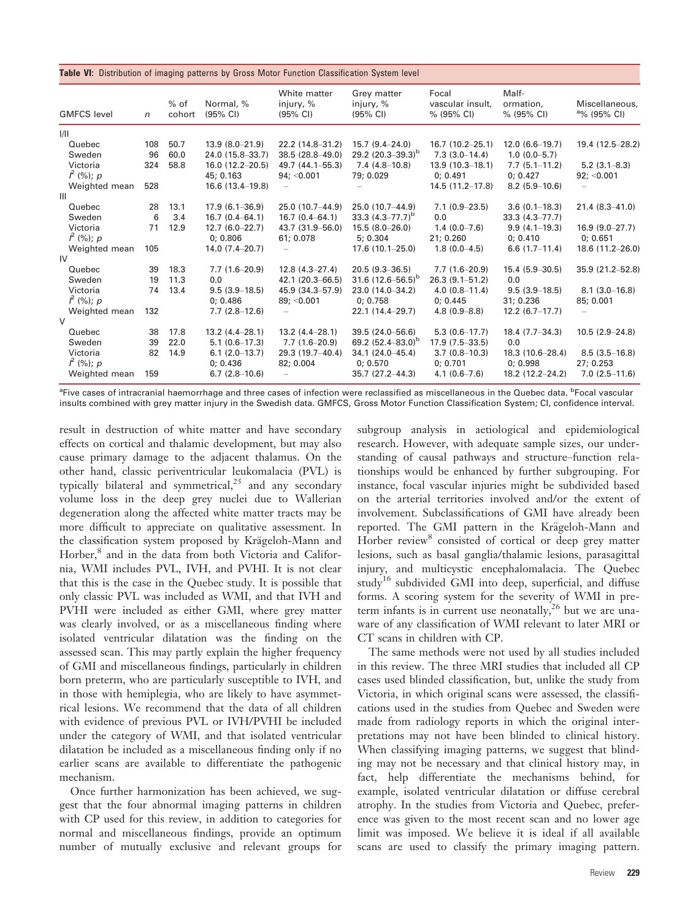| <b>Table VI:</b> Distribution of imaging patterns by Gross Motor Function Classification System level |              |                  |                                 |                                                 |                                                |                                         |                                  |                                           |  |  |  |
|-------------------------------------------------------------------------------------------------------|--------------|------------------|---------------------------------|-------------------------------------------------|------------------------------------------------|-----------------------------------------|----------------------------------|-------------------------------------------|--|--|--|
| <b>GMFCS level</b>                                                                                    | $\mathsf{n}$ | $%$ of<br>cohort | Normal, %<br>$(95% \text{ Cl})$ | White matter<br>injury, %<br>$(95% \text{ Cl})$ | Grey matter<br>injury, %<br>$(95% \text{ Cl})$ | Focal<br>vascular insult.<br>% (95% CI) | Malf-<br>ormation.<br>% (95% CI) | Miscellaneous,<br><sup>a</sup> % (95% CI) |  |  |  |
| 1/11                                                                                                  |              |                  |                                 |                                                 |                                                |                                         |                                  |                                           |  |  |  |
| Quebec                                                                                                | 108          | 50.7             | $13.9(8.0 - 21.9)$              | 22.2 (14.8-31.2)                                | $15.7(9.4 - 24.0)$                             | $16.7(10.2 - 25.1)$                     | $12.0(6.6-19.7)$                 | 19.4 (12.5-28.2)                          |  |  |  |
| Sweden                                                                                                | 96           | 60.0             | 24.0 (15.8-33.7)                | 38.5 (28.8-49.0)                                | 29.2 $(20.3 - 39.3)^{b}$                       | $7.3(3.0-14.4)$                         | $1.0(0.0 - 5.7)$                 |                                           |  |  |  |
| Victoria                                                                                              | 324          | 58.8             | $16.0(12.2 - 20.5)$             | 49.7 (44.1–55.3)                                | $7.4(4.8-10.8)$                                | $13.9(10.3-18.1)$                       | $7.7(5.1-11.2)$                  | $5.2$ (3.1–8.3)                           |  |  |  |
| $l^2$ (%); p                                                                                          |              |                  | 45; 0.163                       | 94; < 0.001                                     | 79; 0.029                                      | 0; 0.491                                | 0; 0.427                         | 92; < 0.001                               |  |  |  |
| Weighted mean                                                                                         | 528          |                  | $16.6(13.4-19.8)$               | $\overline{\phantom{0}}$                        |                                                | $14.5(11.2-17.8)$                       | $8.2(5.9-10.6)$                  | $\overline{\phantom{m}}$                  |  |  |  |
| Ш                                                                                                     |              |                  |                                 |                                                 |                                                |                                         |                                  |                                           |  |  |  |
| Quebec                                                                                                | 28           | 13.1             | $17.9(6.1 - 36.9)$              | $25.0(10.7 - 44.9)$                             | $25.0(10.7 - 44.9)$                            | $7.1(0.9 - 23.5)$                       | $3.6(0.1 - 18.3)$                | $21.4(8.3 - 41.0)$                        |  |  |  |
| Sweden                                                                                                | 6            | 3.4              | $16.7(0.4 - 64.1)$              | $16.7(0.4 - 64.1)$                              | 33.3 $(4.3 - 77.7)^{b}$                        | 0.0                                     | $33.3(4.3 - 77.7)$               |                                           |  |  |  |
| Victoria                                                                                              | 71           | 12.9             | $12.7(6.0-22.7)$                | 43.7 (31.9–56.0)                                | $15.5(8.0-26.0)$                               | $1.4(0.0 - 7.6)$                        | $9.9(4.1 - 19.3)$                | $16.9(9.0-27.7)$                          |  |  |  |
| $f'$ (%); p                                                                                           |              |                  | 0:0.806                         | 61: 0.078                                       | 5:0.304                                        | 21:0.260                                | 0: 0.410                         | 0: 0.651                                  |  |  |  |
| Weighted mean                                                                                         | 105          |                  | $14.0(7.4 - 20.7)$              | $\overline{\phantom{0}}$                        | $17.6(10.1 - 25.0)$                            | $1.8(0.0-4.5)$                          | $6.6(1.7-11.4)$                  | 18.6 (11.2-26.0)                          |  |  |  |
| IV                                                                                                    |              |                  |                                 |                                                 |                                                |                                         |                                  |                                           |  |  |  |
| Quebec                                                                                                | 39           | 18.3             | $7.7(1.6-20.9)$                 | $12.8(4.3-27.4)$                                | $20.5(9.3-36.5)$                               | $7.7(1.6-20.9)$                         | $15.4(5.9 - 30.5)$               | 35.9 (21.2-52.8)                          |  |  |  |
| Sweden                                                                                                | 19           | 11.3             | 0.0                             | $42.1(20.3 - 66.5)$                             | 31.6 $(12.6 - 56.5)^b$                         | $26.3(9.1 - 51.2)$                      | 0.0                              |                                           |  |  |  |
| Victoria                                                                                              | 74           | 13.4             | $9.5(3.9-18.5)$                 | 45.9 (34.3-57.9)                                | 23.0 (14.0-34.2)                               | $4.0(0.8 - 11.4)$                       | $9.5(3.9-18.5)$                  | $8.1(3.0 - 16.8)$                         |  |  |  |
| $l^2$ (%); p                                                                                          |              |                  | 0; 0.486                        | 89; < 0.001                                     | 0; 0.758                                       | 0; 0.445                                | 31; 0.236                        | 85; 0.001                                 |  |  |  |
| Weighted mean                                                                                         | 132          |                  | $7.7(2.8-12.6)$                 | $\overline{\phantom{0}}$                        | 22.1 (14.4-29.7)                               | $4.8(0.9 - 8.8)$                        | $12.2(6.7-17.7)$                 | $\overline{\phantom{0}}$                  |  |  |  |
| V                                                                                                     |              |                  |                                 |                                                 |                                                |                                         |                                  |                                           |  |  |  |
| Quebec                                                                                                | 38           | 17.8             | $13.2(4.4-28.1)$                | $13.2(4.4 - 28.1)$                              | $39.5(24.0 - 56.6)$                            | $5.3(0.6-17.7)$                         | $18.4(7.7-34.3)$                 | $10.5(2.9 - 24.8)$                        |  |  |  |
| Sweden                                                                                                | 39           | 22.0             | $5.1(0.6-17.3)$                 | $7.7(1.6-20.9)$                                 | 69.2 $(52.4 - 83.0)^{b}$                       | $17.9(7.5-33.5)$                        | 0.0                              |                                           |  |  |  |
| Victoria                                                                                              | 82           | 14.9             | $6.1(2.0-13.7)$                 | $29.3(19.7 - 40.4)$                             | $34.1(24.0 - 45.4)$                            | $3.7(0.8-10.3)$                         | $18.3(10.6 - 28.4)$              | $8.5(3.5-16.8)$                           |  |  |  |
| $l^2$ (%); p                                                                                          |              |                  | 0: 0.436                        | 82: 0.004                                       | 0: 0.570                                       | 0: 0.701                                | 0:0.998                          | 27:0.253                                  |  |  |  |
| Weighted mean                                                                                         | 159          |                  | $6.7(2.8-10.6)$                 | $\overline{\phantom{0}}$                        | $35.7(27.2 - 44.3)$                            | $4.1(0.6 - 7.6)$                        | 18.2 (12.2-24.2)                 | $7.0(2.5-11.6)$                           |  |  |  |

<sup>a</sup>Five cases of intracranial haemorrhage and three cases of infection were reclassified as miscellaneous in the Quebec data. <sup>b</sup>Focal vascular insults combined with grey matter injury in the Swedish data. GMFCS, Gross Motor Function Classification System; CI, confidence interval.

result in destruction of white matter and have secondary effects on cortical and thalamic development, but may also cause primary damage to the adjacent thalamus. On the other hand, classic periventricular leukomalacia (PVL) is typically bilateral and symmetrical,<sup>25</sup> and any secondary volume loss in the deep grey nuclei due to Wallerian degeneration along the affected white matter tracts may be more difficult to appreciate on qualitative assessment. In the classification system proposed by Krägeloh-Mann and Horber,<sup>8</sup> and in the data from both Victoria and California, WMI includes PVL, IVH, and PVHI. It is not clear that this is the case in the Quebec study. It is possible that only classic PVL was included as WMI, and that IVH and PVHI were included as either GMI, where grey matter was clearly involved, or as a miscellaneous finding where isolated ventricular dilatation was the finding on the assessed scan. This may partly explain the higher frequency of GMI and miscellaneous findings, particularly in children born preterm, who are particularly susceptible to IVH, and in those with hemiplegia, who are likely to have asymmetrical lesions. We recommend that the data of all children with evidence of previous PVL or IVH/PVHI be included under the category of WMI, and that isolated ventricular dilatation be included as a miscellaneous finding only if no earlier scans are available to differentiate the pathogenic mechanism.

Once further harmonization has been achieved, we suggest that the four abnormal imaging patterns in children with CP used for this review, in addition to categories for normal and miscellaneous findings, provide an optimum number of mutually exclusive and relevant groups for

subgroup analysis in aetiological and epidemiological research. However, with adequate sample sizes, our understanding of causal pathways and structure–function relationships would be enhanced by further subgrouping. For instance, focal vascular injuries might be subdivided based on the arterial territories involved and/or the extent of involvement. Subclassifications of GMI have already been reported. The GMI pattern in the Krägeloh-Mann and Horber review<sup>8</sup> consisted of cortical or deep grey matter lesions, such as basal ganglia/thalamic lesions, parasagittal injury, and multicystic encephalomalacia. The Quebec study<sup>16</sup> subdivided GMI into deep, superficial, and diffuse forms. A scoring system for the severity of WMI in preterm infants is in current use neonatally,<sup>26</sup> but we are unaware of any classification of WMI relevant to later MRI or CT scans in children with CP.

The same methods were not used by all studies included in this review. The three MRI studies that included all CP cases used blinded classification, but, unlike the study from Victoria, in which original scans were assessed, the classifications used in the studies from Quebec and Sweden were made from radiology reports in which the original interpretations may not have been blinded to clinical history. When classifying imaging patterns, we suggest that blinding may not be necessary and that clinical history may, in fact, help differentiate the mechanisms behind, for example, isolated ventricular dilatation or diffuse cerebral atrophy. In the studies from Victoria and Quebec, preference was given to the most recent scan and no lower age limit was imposed. We believe it is ideal if all available scans are used to classify the primary imaging pattern.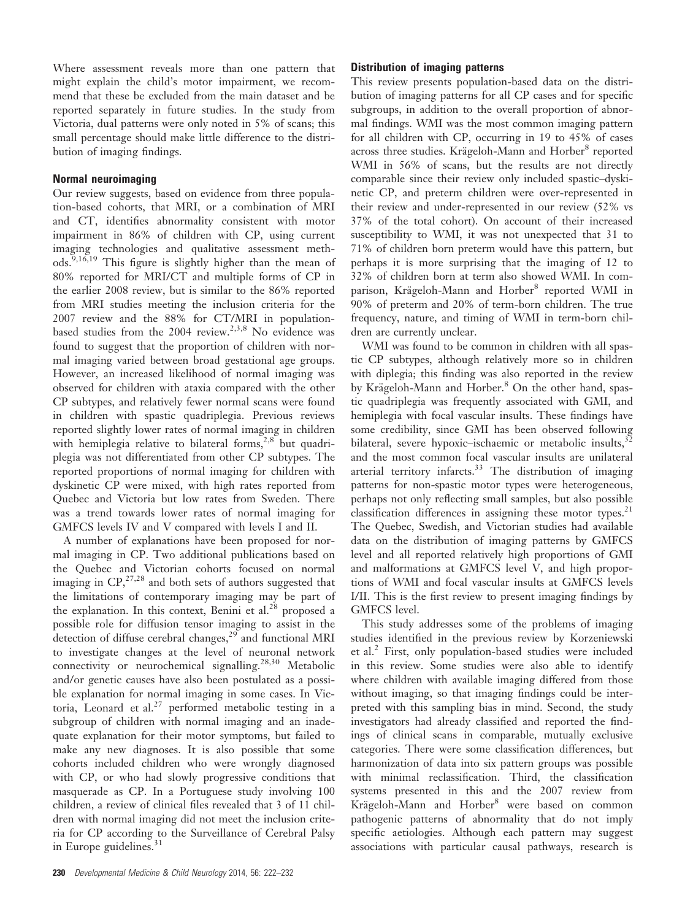Where assessment reveals more than one pattern that might explain the child's motor impairment, we recommend that these be excluded from the main dataset and be reported separately in future studies. In the study from Victoria, dual patterns were only noted in 5% of scans; this small percentage should make little difference to the distribution of imaging findings.

#### Normal neuroimaging

Our review suggests, based on evidence from three population-based cohorts, that MRI, or a combination of MRI and CT, identifies abnormality consistent with motor impairment in 86% of children with CP, using current imaging technologies and qualitative assessment methods.<sup>9,16,19</sup> This figure is slightly higher than the mean of 80% reported for MRI/CT and multiple forms of CP in the earlier 2008 review, but is similar to the 86% reported from MRI studies meeting the inclusion criteria for the 2007 review and the 88% for CT/MRI in populationbased studies from the 2004 review.<sup>2,3,8</sup> No evidence was found to suggest that the proportion of children with normal imaging varied between broad gestational age groups. However, an increased likelihood of normal imaging was observed for children with ataxia compared with the other CP subtypes, and relatively fewer normal scans were found in children with spastic quadriplegia. Previous reviews reported slightly lower rates of normal imaging in children with hemiplegia relative to bilateral forms,<sup>2,8</sup> but quadriplegia was not differentiated from other CP subtypes. The reported proportions of normal imaging for children with dyskinetic CP were mixed, with high rates reported from Quebec and Victoria but low rates from Sweden. There was a trend towards lower rates of normal imaging for GMFCS levels IV and V compared with levels I and II.

A number of explanations have been proposed for normal imaging in CP. Two additional publications based on the Quebec and Victorian cohorts focused on normal imaging in  $\text{CP}$ , $^{27,28}$  and both sets of authors suggested that the limitations of contemporary imaging may be part of the explanation. In this context, Benini et al.<sup>28</sup> proposed a possible role for diffusion tensor imaging to assist in the detection of diffuse cerebral changes,<sup>29</sup> and functional MRI to investigate changes at the level of neuronal network connectivity or neurochemical signalling.<sup>28,30</sup> Metabolic and/or genetic causes have also been postulated as a possible explanation for normal imaging in some cases. In Victoria, Leonard et al.<sup>27</sup> performed metabolic testing in a subgroup of children with normal imaging and an inadequate explanation for their motor symptoms, but failed to make any new diagnoses. It is also possible that some cohorts included children who were wrongly diagnosed with CP, or who had slowly progressive conditions that masquerade as CP. In a Portuguese study involving 100 children, a review of clinical files revealed that 3 of 11 children with normal imaging did not meet the inclusion criteria for CP according to the Surveillance of Cerebral Palsy in Europe guidelines. $31$ 

#### Distribution of imaging patterns

This review presents population-based data on the distribution of imaging patterns for all CP cases and for specific subgroups, in addition to the overall proportion of abnormal findings. WMI was the most common imaging pattern for all children with CP, occurring in 19 to 45% of cases across three studies. Krägeloh-Mann and Horber<sup>8</sup> reported WMI in 56% of scans, but the results are not directly comparable since their review only included spastic–dyskinetic CP, and preterm children were over-represented in their review and under-represented in our review (52% vs 37% of the total cohort). On account of their increased susceptibility to WMI, it was not unexpected that 31 to 71% of children born preterm would have this pattern, but perhaps it is more surprising that the imaging of 12 to 32% of children born at term also showed WMI. In comparison, Krägeloh-Mann and Horber<sup>8</sup> reported WMI in 90% of preterm and 20% of term-born children. The true frequency, nature, and timing of WMI in term-born children are currently unclear.

WMI was found to be common in children with all spastic CP subtypes, although relatively more so in children with diplegia; this finding was also reported in the review by Krägeloh-Mann and Horber.<sup>8</sup> On the other hand, spastic quadriplegia was frequently associated with GMI, and hemiplegia with focal vascular insults. These findings have some credibility, since GMI has been observed following bilateral, severe hypoxic–ischaemic or metabolic insults,<sup>3</sup> and the most common focal vascular insults are unilateral arterial territory infarcts.<sup>33</sup> The distribution of imaging patterns for non-spastic motor types were heterogeneous, perhaps not only reflecting small samples, but also possible classification differences in assigning these motor types. $21$ The Quebec, Swedish, and Victorian studies had available data on the distribution of imaging patterns by GMFCS level and all reported relatively high proportions of GMI and malformations at GMFCS level V, and high proportions of WMI and focal vascular insults at GMFCS levels I/II. This is the first review to present imaging findings by GMFCS level.

This study addresses some of the problems of imaging studies identified in the previous review by Korzeniewski et al.<sup>2</sup> First, only population-based studies were included in this review. Some studies were also able to identify where children with available imaging differed from those without imaging, so that imaging findings could be interpreted with this sampling bias in mind. Second, the study investigators had already classified and reported the findings of clinical scans in comparable, mutually exclusive categories. There were some classification differences, but harmonization of data into six pattern groups was possible with minimal reclassification. Third, the classification systems presented in this and the 2007 review from Krägeloh-Mann and Horber<sup>8</sup> were based on common pathogenic patterns of abnormality that do not imply specific aetiologies. Although each pattern may suggest associations with particular causal pathways, research is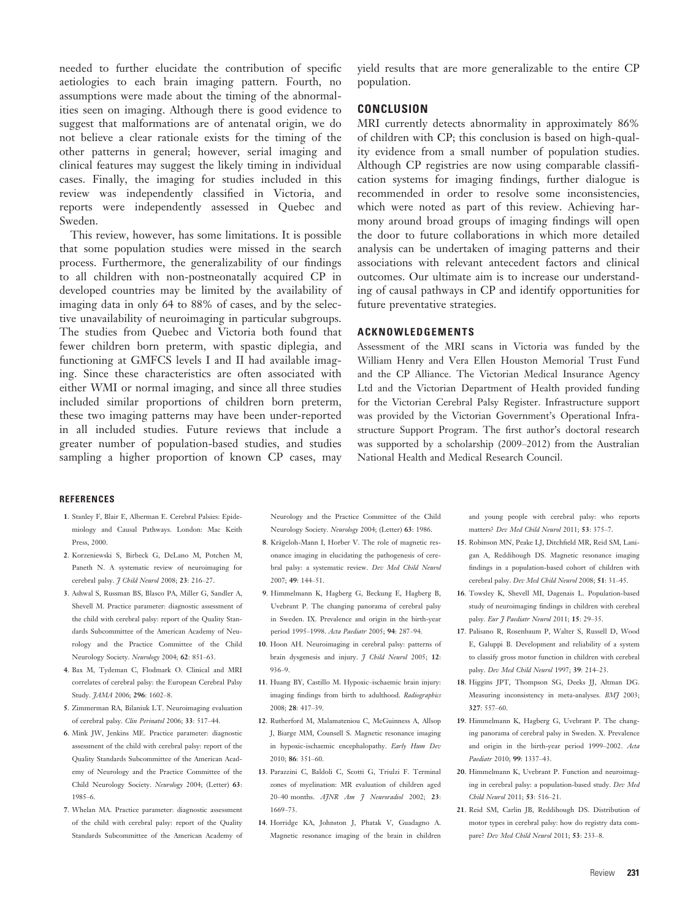needed to further elucidate the contribution of specific aetiologies to each brain imaging pattern. Fourth, no assumptions were made about the timing of the abnormalities seen on imaging. Although there is good evidence to suggest that malformations are of antenatal origin, we do not believe a clear rationale exists for the timing of the other patterns in general; however, serial imaging and clinical features may suggest the likely timing in individual cases. Finally, the imaging for studies included in this review was independently classified in Victoria, and reports were independently assessed in Quebec and Sweden.

This review, however, has some limitations. It is possible that some population studies were missed in the search process. Furthermore, the generalizability of our findings to all children with non-postneonatally acquired CP in developed countries may be limited by the availability of imaging data in only 64 to 88% of cases, and by the selective unavailability of neuroimaging in particular subgroups. The studies from Quebec and Victoria both found that fewer children born preterm, with spastic diplegia, and functioning at GMFCS levels I and II had available imaging. Since these characteristics are often associated with either WMI or normal imaging, and since all three studies included similar proportions of children born preterm, these two imaging patterns may have been under-reported in all included studies. Future reviews that include a greater number of population-based studies, and studies sampling a higher proportion of known CP cases, may

yield results that are more generalizable to the entire CP population.

#### **CONCLUSION**

MRI currently detects abnormality in approximately 86% of children with CP; this conclusion is based on high-quality evidence from a small number of population studies. Although CP registries are now using comparable classification systems for imaging findings, further dialogue is recommended in order to resolve some inconsistencies, which were noted as part of this review. Achieving harmony around broad groups of imaging findings will open the door to future collaborations in which more detailed analysis can be undertaken of imaging patterns and their associations with relevant antecedent factors and clinical outcomes. Our ultimate aim is to increase our understanding of causal pathways in CP and identify opportunities for future preventative strategies.

#### ACKNOWLEDGEMENTS

Assessment of the MRI scans in Victoria was funded by the William Henry and Vera Ellen Houston Memorial Trust Fund and the CP Alliance. The Victorian Medical Insurance Agency Ltd and the Victorian Department of Health provided funding for the Victorian Cerebral Palsy Register. Infrastructure support was provided by the Victorian Government's Operational Infrastructure Support Program. The first author's doctoral research was supported by a scholarship (2009–2012) from the Australian National Health and Medical Research Council.

#### **REFERENCES**

- 1. Stanley F, Blair E, Alberman E. Cerebral Palsies: Epidemiology and Causal Pathways. London: Mac Keith Press, 2000.
- 2. Korzeniewski S, Birbeck G, DeLano M, Potchen M, Paneth N. A systematic review of neuroimaging for cerebral palsy. *J Child Neurol* 2008; 23: 216-27.
- 3. Ashwal S, Russman BS, Blasco PA, Miller G, Sandler A, Shevell M. Practice parameter: diagnostic assessment of the child with cerebral palsy: report of the Quality Standards Subcommittee of the American Academy of Neurology and the Practice Committee of the Child Neurology Society. Neurology 2004; 62: 851–63.
- 4. Bax M, Tydeman C, Flodmark O. Clinical and MRI correlates of cerebral palsy: the European Cerebral Palsy Study. *JAMA* 2006; 296: 1602-8.
- 5. Zimmerman RA, Bilaniuk LT. Neuroimaging evaluation of cerebral palsy. Clin Perinatol 2006; 33: 517–44.
- 6. Mink JW, Jenkins ME. Practice parameter: diagnostic assessment of the child with cerebral palsy: report of the Quality Standards Subcommittee of the American Academy of Neurology and the Practice Committee of the Child Neurology Society. Neurology 2004; (Letter) 63: 1985–6.
- 7. Whelan MA. Practice parameter: diagnostic assessment of the child with cerebral palsy: report of the Quality Standards Subcommittee of the American Academy of

Neurology and the Practice Committee of the Child Neurology Society. Neurology 2004; (Letter) 63: 1986.

- 8. Krägeloh-Mann I, Horber V. The role of magnetic resonance imaging in elucidating the pathogenesis of cerebral palsy: a systematic review. Dev Med Child Neurol 2007; 49: 144–51.
- 9. Himmelmann K, Hagberg G, Beckung E, Hagberg B, Uvebrant P. The changing panorama of cerebral palsy in Sweden. IX. Prevalence and origin in the birth-year period 1995–1998. Acta Paediatr 2005; 94: 287–94.
- 10. Hoon AH. Neuroimaging in cerebral palsy: patterns of brain dysgenesis and injury. *J Child Neurol* 2005; 12: 936–9.
- 11. Huang BY, Castillo M. Hypoxic–ischaemic brain injury: imaging findings from birth to adulthood. Radiographics 2008; 28: 417–39.
- 12. Rutherford M, Malamateniou C, McGuinness A, Allsop J, Biarge MM, Counsell S. Magnetic resonance imaging in hypoxic-ischaemic encephalopathy. Early Hum Dev 2010; 86: 351–60.
- 13. Parazzini C, Baldoli C, Scotti G, Triulzi F. Terminal zones of myelination: MR evaluation of children aged 20–40 months.  $A\overline{f}NR$  Am  $\overline{f}$  Neuroradiol 2002; 23: 1669–73.
- 14. Horridge KA, Johnston J, Phatak V, Guadagno A. Magnetic resonance imaging of the brain in children

and young people with cerebral palsy: who reports matters? Dev Med Child Neurol 2011; 53: 375–7.

- 15. Robinson MN, Peake LJ, Ditchfield MR, Reid SM, Lanigan A, Reddihough DS. Magnetic resonance imaging findings in a population-based cohort of children with cerebral palsy. Dev Med Child Neurol 2008; 51: 31–45.
- 16. Towsley K, Shevell MI, Dagenais L. Population-based study of neuroimaging findings in children with cerebral palsy. Eur J Paediatr Neurol 2011; 15: 29-35.
- 17. Palisano R, Rosenbaum P, Walter S, Russell D, Wood E, Galuppi B. Development and reliability of a system to classify gross motor function in children with cerebral palsy. Dev Med Child Neurol 1997; 39: 214–23.
- 18. Higgins JPT, Thompson SG, Deeks JJ, Altman DG. Measuring inconsistency in meta-analyses. BMJ 2003; 327: 557–60.
- 19. Himmelmann K, Hagberg G, Uvebrant P. The changing panorama of cerebral palsy in Sweden. X. Prevalence and origin in the birth-year period 1999-2002. Acta Paediatr 2010; 99: 1337–43.
- 20. Himmelmann K, Uvebrant P. Function and neuroimaging in cerebral palsy: a population-based study. Dev Med Child Neurol 2011; 53: 516–21.
- 21. Reid SM, Carlin JB, Reddihough DS. Distribution of motor types in cerebral palsy: how do registry data compare? Dev Med Child Neurol 2011; 53: 233–8.